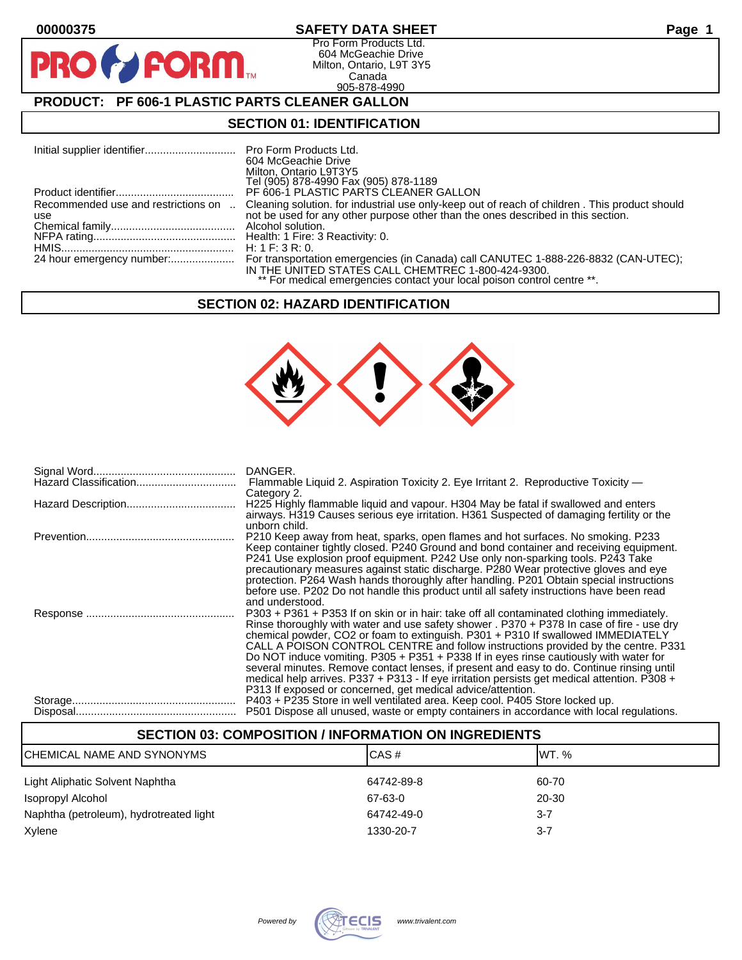$\bullet$ 

PR

## **00000375 SAFETY DATA SHEET Page 1**

Pro Form Products Ltd. 604 McGeachie Drive Milton, Ontario, L9T 3Y5 Canada 905-878-4990

# **PRODUCT: PF 606-1 PLASTIC PARTS CLEANER GALLON**

**FORM.** 

#### **SECTION 01: IDENTIFICATION**

|                                            | Pro Form Products Ltd.<br>604 McGeachie Drive<br>Milton, Ontario L9T3Y5<br>Tel (905) 878-4990 Fax (905) 878-1189                                                                                                    |
|--------------------------------------------|---------------------------------------------------------------------------------------------------------------------------------------------------------------------------------------------------------------------|
|                                            | PF 606-1 PLASTIC PARTS CLEANER GALLON                                                                                                                                                                               |
| Recommended use and restrictions on<br>use | Cleaning solution. for industrial use only-keep out of reach of children. This product should<br>not be used for any other purpose other than the ones described in this section.<br>Alcohol solution.              |
|                                            | H: 1 F: 3 R: 0.                                                                                                                                                                                                     |
| 24 hour emergency number:                  | For transportation emergencies (in Canada) call CANUTEC 1-888-226-8832 (CAN-UTEC);<br>IN THE UNITED STATES CALL CHEMTREC 1-800-424-9300.<br>** For medical emergencies contact your local poison control centre **. |

#### **SECTION 02: HAZARD IDENTIFICATION**



| DANGER.                                                                                                                                                                                                                                                                                                                                                                                                                                                                                                                                                                                                                                                                                                              |
|----------------------------------------------------------------------------------------------------------------------------------------------------------------------------------------------------------------------------------------------------------------------------------------------------------------------------------------------------------------------------------------------------------------------------------------------------------------------------------------------------------------------------------------------------------------------------------------------------------------------------------------------------------------------------------------------------------------------|
| Flammable Liquid 2. Aspiration Toxicity 2. Eye Irritant 2. Reproductive Toxicity —<br>Category 2.                                                                                                                                                                                                                                                                                                                                                                                                                                                                                                                                                                                                                    |
| H225 Highly flammable liquid and vapour. H304 May be fatal if swallowed and enters<br>airways. H319 Causes serious eye irritation. H361 Suspected of damaging fertility or the<br>unborn child.                                                                                                                                                                                                                                                                                                                                                                                                                                                                                                                      |
| P210 Keep away from heat, sparks, open flames and hot surfaces. No smoking. P233<br>Keep container tightly closed. P240 Ground and bond container and receiving equipment.<br>P241 Use explosion proof equipment. P242 Use only non-sparking tools. P243 Take<br>precautionary measures against static discharge. P280 Wear protective gloves and eye<br>protection. P264 Wash hands thoroughly after handling. P201 Obtain special instructions<br>before use. P202 Do not handle this product until all safety instructions have been read<br>and understood.                                                                                                                                                      |
| P303 + P361 + P353 If on skin or in hair: take off all contaminated clothing immediately.<br>Rinse thoroughly with water and use safety shower . P370 + P378 In case of fire - use dry<br>chemical powder, CO2 or foam to extinguish. P301 + P310 If swallowed IMMEDIATELY<br>CALL A POISON CONTROL CENTRE and follow instructions provided by the centre. P331<br>Do NOT induce vomiting. P305 + P351 + P338 If in eyes rinse cautiously with water for<br>several minutes. Remove contact lenses, if present and easy to do. Continue rinsing until<br>medical help arrives. P337 + P313 - If eye irritation persists get medical attention. P308 +<br>P313 If exposed or concerned, get medical advice/attention. |
| P403 + P235 Store in well ventilated area. Keep cool. P405 Store locked up.<br>P501 Dispose all unused, waste or empty containers in accordance with local regulations.                                                                                                                                                                                                                                                                                                                                                                                                                                                                                                                                              |

# **SECTION 03: COMPOSITION / INFORMATION ON INGREDIENTS** CHEMICAL NAME AND SYNONYMS CASE CAS # CAS # WT. %

| Light Aliphatic Solvent Naphtha         | 64742-89-8 | 60-70   |
|-----------------------------------------|------------|---------|
| Isopropyl Alcohol                       | 67-63-0    | 20-30   |
| Naphtha (petroleum), hydrotreated light | 64742-49-0 | $3 - 7$ |
| Xylene                                  | 1330-20-7  | $3 - 7$ |

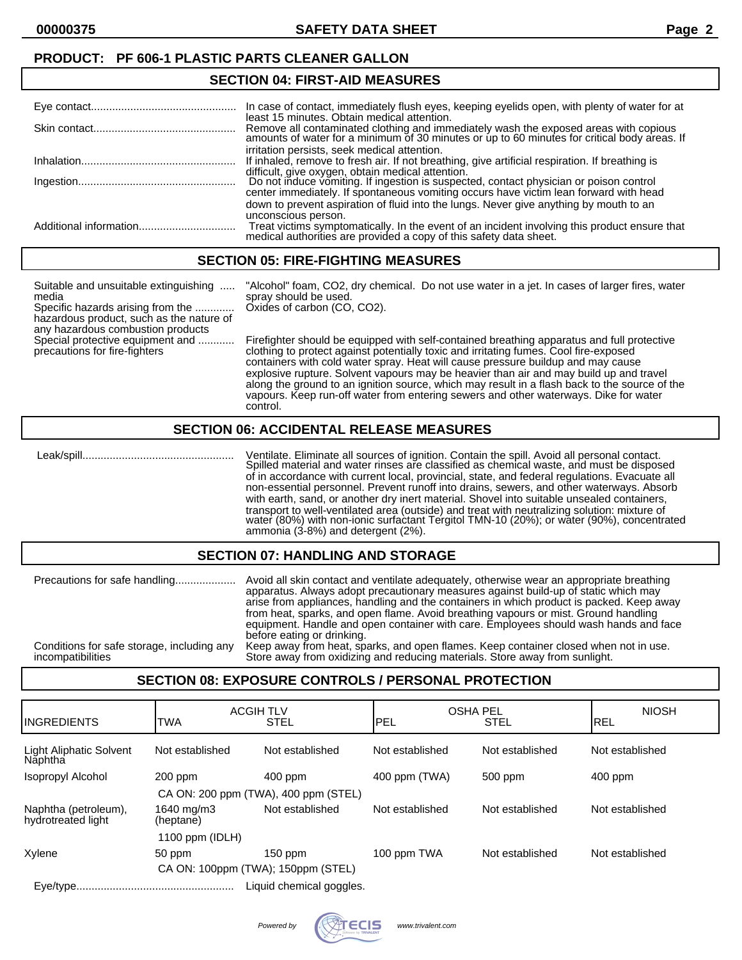# **SECTION 04: FIRST-AID MEASURES**

| In case of contact, immediately flush eyes, keeping eyelids open, with plenty of water for at<br>least 15 minutes. Obtain medical attention.                                                                                         |
|--------------------------------------------------------------------------------------------------------------------------------------------------------------------------------------------------------------------------------------|
| Remove all contaminated clothing and immediately wash the exposed areas with copious amounts of water for a minimum of 30 minutes or up to 60 minutes for critical body areas. If                                                    |
| irritation persists, seek medical attention.<br>If inhaled, remove to fresh air. If not breathing, give artificial respiration. If breathing is                                                                                      |
| difficult, give oxygen, obtain medical attention.<br>Do not induce vomiting. If ingestion is suspected, contact physician or poison control<br>center immediately. If spontaneous vomiting occurs have victim lean forward with head |
| down to prevent aspiration of fluid into the lungs. Never give anything by mouth to an<br>unconscious person.                                                                                                                        |
| Treat victims symptomatically. In the event of an incident involving this product ensure that medical authorities are provided a copy of this safety data sheet.                                                                     |

#### **SECTION 05: FIRE-FIGHTING MEASURES**

| Suitable and unsuitable extinguishing<br>media<br>Specific hazards arising from the  Oxides of carbon (CO, CO2).<br>hazardous product, such as the nature of<br>any hazardous combustion products | "Alcohol" foam, CO2, dry chemical. Do not use water in a jet. In cases of larger fires, water<br>spray should be used.                                                                                                                                                  |  |
|---------------------------------------------------------------------------------------------------------------------------------------------------------------------------------------------------|-------------------------------------------------------------------------------------------------------------------------------------------------------------------------------------------------------------------------------------------------------------------------|--|
| Special protective equipment and<br>precautions for fire-fighters                                                                                                                                 | Firefighter should be equipped with self-contained breathing apparatus and full protective<br>clothing to protect against potentially toxic and irritating fumes. Cool fire-exposed<br>containers with cold water spray. Heat will cause pressure buildup and may cause |  |

containers with cold water spray. Heat will cause pressure buildup and may cause explosive rupture. Solvent vapours may be heavier than air and may build up and travel along the ground to an ignition source, which may result in a flash back to the source of the vapours. Keep run-off water from entering sewers and other waterways. Dike for water control.

#### **SECTION 06: ACCIDENTAL RELEASE MEASURES**

 Leak/spill.................................................. Ventilate. Eliminate all sources of ignition. Contain the spill. Avoid all personal contact. Spilled material and water rinses are classified as chemical waste, and must be disposed of in accordance with current local, provincial, state, and federal regulations. Evacuate all non-essential personnel. Prevent runoff into drains, sewers, and other waterways. Absorb with earth, sand, or another dry inert material. Shovel into suitable unsealed containers, transport to well-ventilated area (outside) and treat with neutralizing solution: mixture of water (80%) with non-ionic surfactant Tergitol TMN-10 (20%); or water (90%), concentrated ammonia (3-8%) and detergent (2%).

#### **SECTION 07: HANDLING AND STORAGE**

| Precautions for safe handling              | Avoid all skin contact and ventilate adequately, otherwise wear an appropriate breathing<br>apparatus. Always adopt precautionary measures against build-up of static which may<br>arise from appliances, handling and the containers in which product is packed. Keep away<br>from heat, sparks, and open flame. Avoid breathing vapours or mist. Ground handling<br>equipment. Handle and open container with care. Employees should wash hands and face<br>before eating or drinking. |
|--------------------------------------------|------------------------------------------------------------------------------------------------------------------------------------------------------------------------------------------------------------------------------------------------------------------------------------------------------------------------------------------------------------------------------------------------------------------------------------------------------------------------------------------|
| Conditions for safe storage, including any | Keep away from heat, sparks, and open flames. Keep container closed when not in use.                                                                                                                                                                                                                                                                                                                                                                                                     |
| incompatibilities                          | Store away from oxidizing and reducing materials. Store away from sunlight.                                                                                                                                                                                                                                                                                                                                                                                                              |

#### **SECTION 08: EXPOSURE CONTROLS / PERSONAL PROTECTION**

| <b>IINGREDIENTS</b>                        | <b>ACGIH TLV</b><br><b>TWA</b>       | <b>STEL</b>              | OSHA PEL<br>PEL | <b>STEL</b>     | <b>NIOSH</b><br><b>IREL</b> |
|--------------------------------------------|--------------------------------------|--------------------------|-----------------|-----------------|-----------------------------|
| <b>Light Aliphatic Solvent</b><br>Năphtha  | Not established                      | Not established          | Not established | Not established | Not established             |
| Isopropyl Alcohol                          | $200$ ppm                            | 400 ppm                  | 400 ppm (TWA)   | 500 ppm         | $400$ ppm                   |
|                                            | CA ON: 200 ppm (TWA), 400 ppm (STEL) |                          |                 |                 |                             |
| Naphtha (petroleum),<br>hydrotreated light | 1640 mg/m3<br>(heptane)              | Not established          | Not established | Not established | Not established             |
|                                            | 1100 ppm $(IDLH)$                    |                          |                 |                 |                             |
| Xylene                                     | 50 ppm                               | $150$ ppm                | 100 ppm TWA     | Not established | Not established             |
| CA ON: 100ppm (TWA); 150ppm (STEL)         |                                      |                          |                 |                 |                             |
|                                            |                                      | Liquid chemical goggles. |                 |                 |                             |

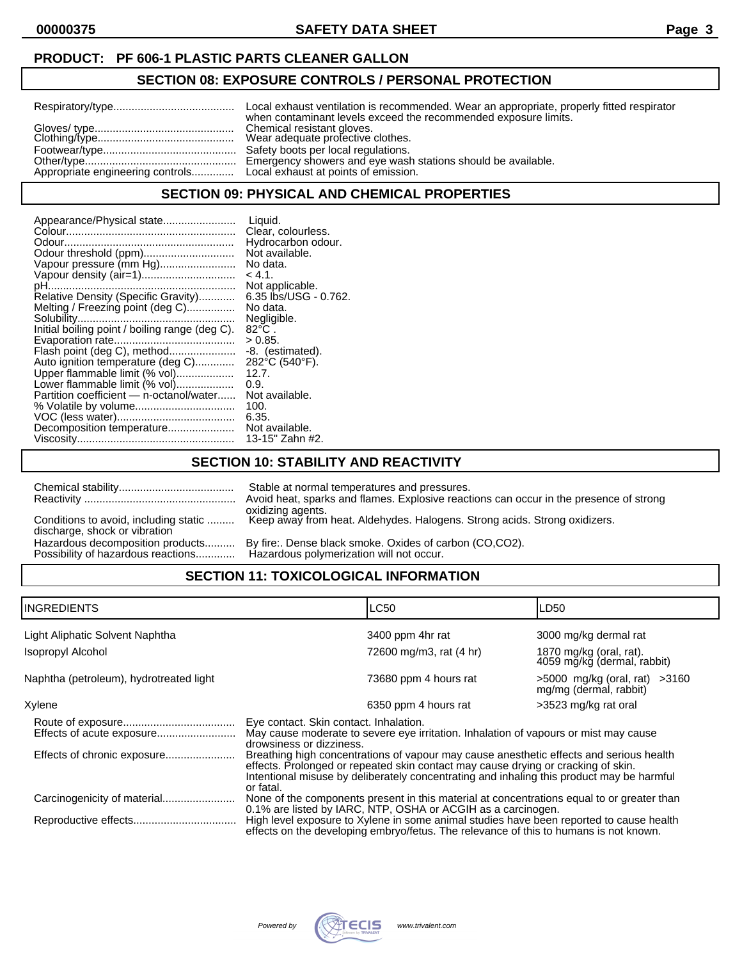#### **PRODUCT: PF 606-1 PLASTIC PARTS CLEANER GALLON**

#### **SECTION 08: EXPOSURE CONTROLS / PERSONAL PROTECTION**

| Local exhaust ventilation is recommended. Wear an appropriate, properly fitted respirator<br>when contaminant levels exceed the recommended exposure limits. |
|--------------------------------------------------------------------------------------------------------------------------------------------------------------|
| Wear adequate profective clothes.<br>Emergency showers and eye wash stations should be available.                                                            |
|                                                                                                                                                              |

#### **SECTION 09: PHYSICAL AND CHEMICAL PROPERTIES**

#### **SECTION 10: STABILITY AND REACTIVITY**

|                                                                        | Stable at normal temperatures and pressures.<br>Avoid heat, sparks and flames. Explosive reactions can occur in the presence of strong<br>oxidizing agents. |
|------------------------------------------------------------------------|-------------------------------------------------------------------------------------------------------------------------------------------------------------|
| Conditions to avoid, including static<br>discharge, shock or vibration | Keep away from heat. Aldehydes. Halogens. Strong acids. Strong oxidizers.                                                                                   |
| Hazardous decomposition products<br>Possibility of hazardous reactions | By fire:. Dense black smoke. Oxides of carbon (CO,CO2).<br>Hazardous polymerization will not occur.                                                         |

# **SECTION 11: TOXICOLOGICAL INFORMATION**

| <b>INGREDIENTS</b>                      | LC50                                                                                                                                                                                                                                                                                   | LD <sub>50</sub>                                            |  |
|-----------------------------------------|----------------------------------------------------------------------------------------------------------------------------------------------------------------------------------------------------------------------------------------------------------------------------------------|-------------------------------------------------------------|--|
| Light Aliphatic Solvent Naphtha         | 3400 ppm 4hr rat                                                                                                                                                                                                                                                                       | 3000 mg/kg dermal rat                                       |  |
| Isopropyl Alcohol                       | 72600 mg/m3, rat (4 hr)                                                                                                                                                                                                                                                                | 1870 mg/kg (oral, rat).<br>4059 mg/kg (dermal, rabbit)      |  |
| Naphtha (petroleum), hydrotreated light | 73680 ppm 4 hours rat                                                                                                                                                                                                                                                                  | $>5000$ mg/kg (oral, rat) $>3160$<br>mg/mg (dermal, rabbit) |  |
| Xylene                                  | 6350 ppm 4 hours rat                                                                                                                                                                                                                                                                   | >3523 mg/kg rat oral                                        |  |
|                                         | Eye contact. Skin contact. Inhalation.<br>May cause moderate to severe eye irritation. Inhalation of vapours or mist may cause<br>drowsiness or dizziness.                                                                                                                             |                                                             |  |
| Effects of chronic exposure             | Breathing high concentrations of vapour may cause anesthetic effects and serious health<br>effects. Prolonged or repeated skin contact may cause drying or cracking of skin.<br>Intentional misuse by deliberately concentrating and inhaling this product may be harmful<br>or fatal. |                                                             |  |
|                                         | None of the components present in this material at concentrations equal to or greater than<br>0.1% are listed by IARC, NTP, OSHA or ACGIH as a carcinogen.                                                                                                                             |                                                             |  |
|                                         | High level exposure to Xylene in some animal studies have been reported to cause health<br>effects on the developing embryo/fetus. The relevance of this to humans is not known.                                                                                                       |                                                             |  |